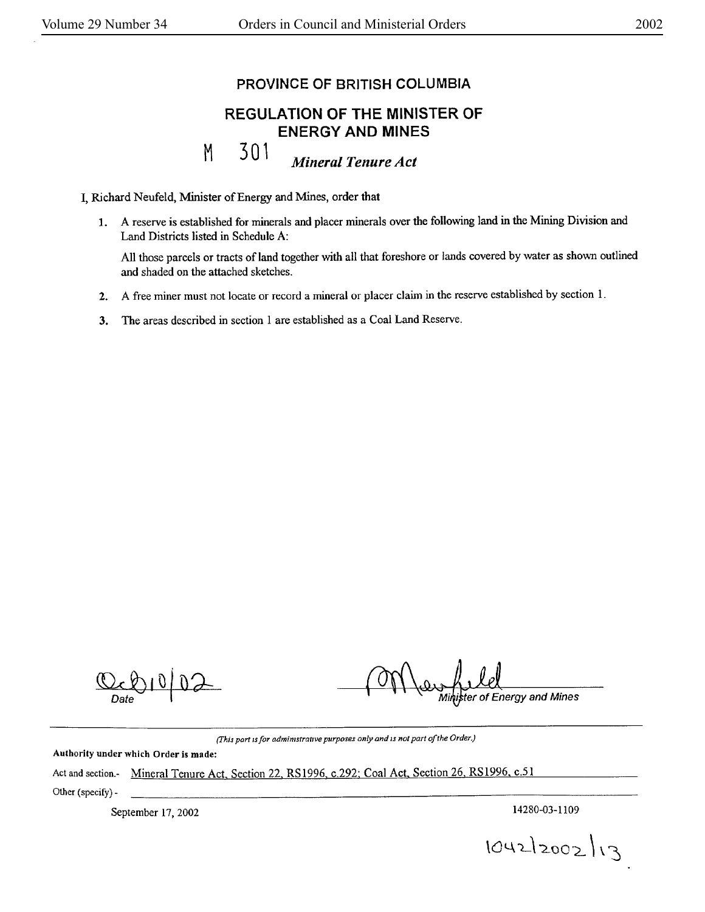## PROVINCE OF BRITISH COLUMBIA

## REGULATION OF THE MINISTER OF ENERGY **AND MINES**

301 *Mineral Tenure Act* 

I, Richard Neufeld, Minister of Energy and Mines, order that

M

1. A reserve is established for minerals and placer minerals over the following land in the Mining Division and Land Districts listed in Schedule A:

All those parcels or tracts of land together with all that foreshore or lands covered by water as shown outlined and shaded on the attached sketches.

- **2. A** free miner must not locate **or** record a mineral or placer claim in the reserve established by section 1.
- 3. The areas described in section 1 are established as a Coal Land Reserve.

 $|0|$ 

ter of Energy and Mines

*(J'his part* 1s *for* admimstralJVe *purposes only and* IS *not par<sup>t</sup>of the Order.)* 

Authority under which **Order is made:** 

Act and section.- Mineral Tenure Act. Section 22, **RS** 1996, c.292: Coal Act. Section 26, RS 1996, c.51 Other (specify) -

September 17, 2002 14280-03-1109

 $1042|2002|13$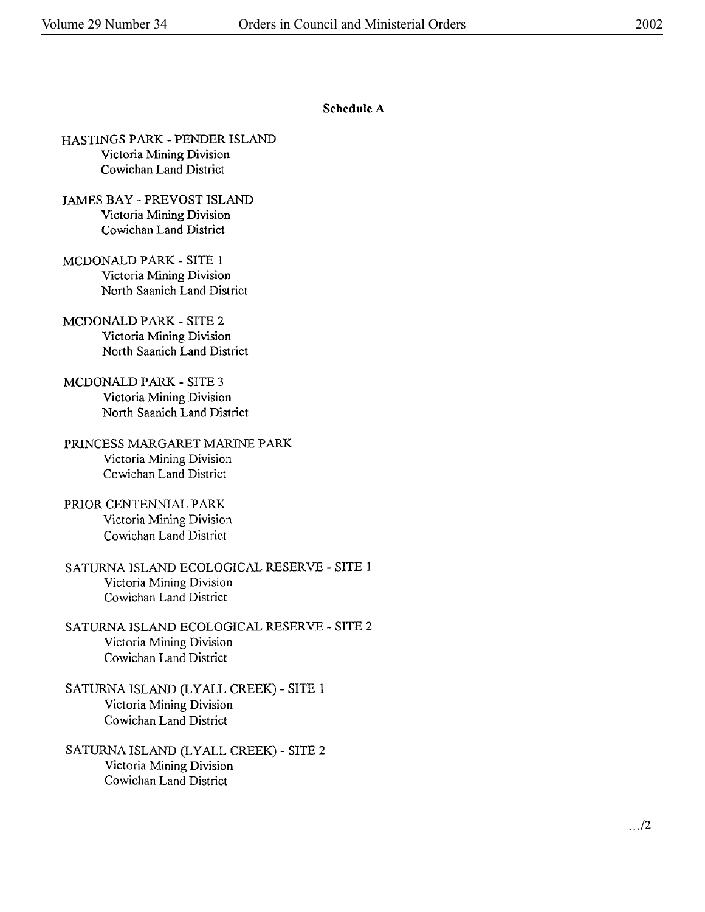## **Schedule A**

- HASTINGS PARK PENDER ISLAND Victoria Mining Division Cowichan Land District
- JAMES BAY PREVOST ISLAND Victoria Mining Division Cowichan Land District
- MCDONALD PARK SITE 1 Victoria Mining Division North Saanich Land District
- MCDONALD PARK SITE 2 Victoria Mining Division North Saanich Land District
- MCDONALD PARK SITE 3 Victoria Mining Division North Saanich Land District
- PRINCESS MARGARET MARINE PARK Victoria Mining Division Cowichan Land District
- PRIOR CENTENNIAL PARK Victoria Mining Division Cowichan Land District
- SATURNA ISLAND ECOLOGICAL RESERVE SITE 1 Victoria Mining Division Cowichan Land District
- SATURNA ISLAND ECOLOGICAL RESERVE SITE 2 Victoria Mining Division Cowichan Land District
- SATURNA ISLAND (LY ALL CREEK) SITE 1 Victoria Mining Division Cowichan Land District
- SATURNA ISLAND (LYALL CREEK) SITE 2 Victoria Mining Division Cowichan Land District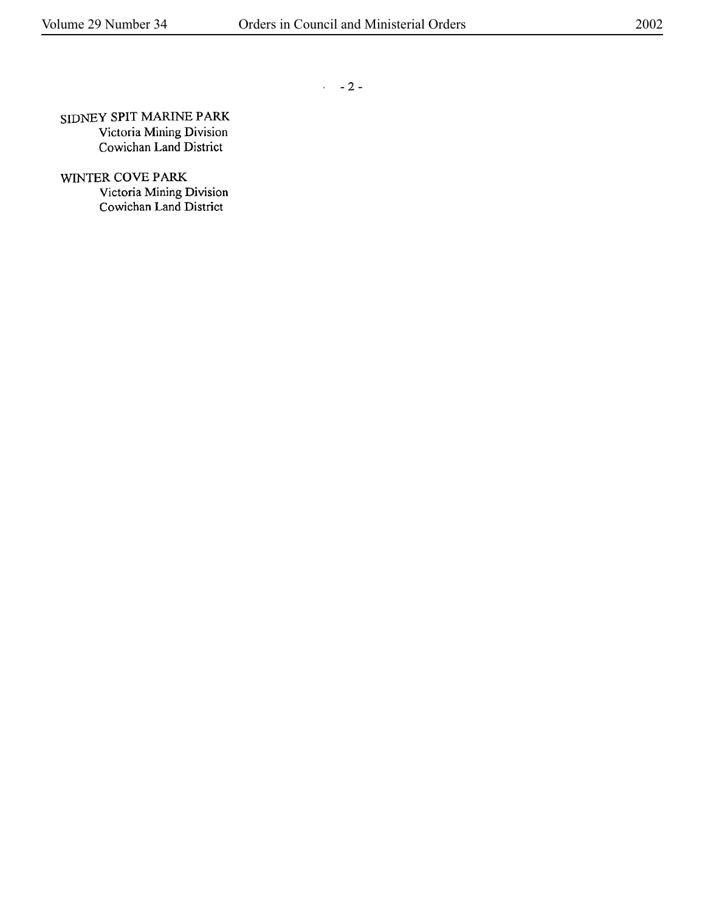$-2-$ 

SIDNEY SPIT MARINE PARK Victoria Mining Division Cowichan Land District

WINTER COVE PARK Victoria Mining Division Cowichan Land District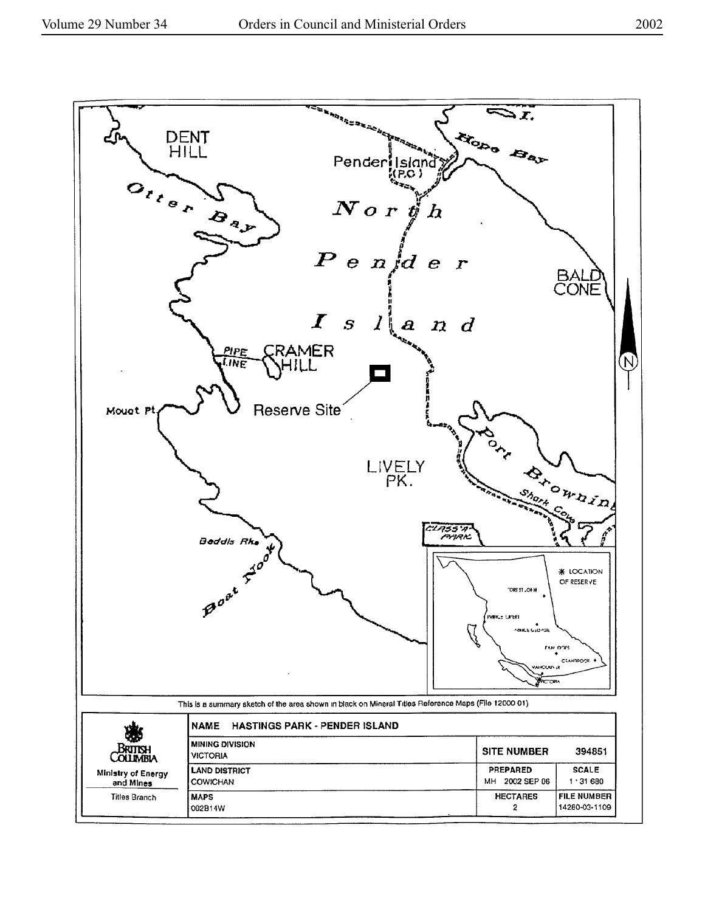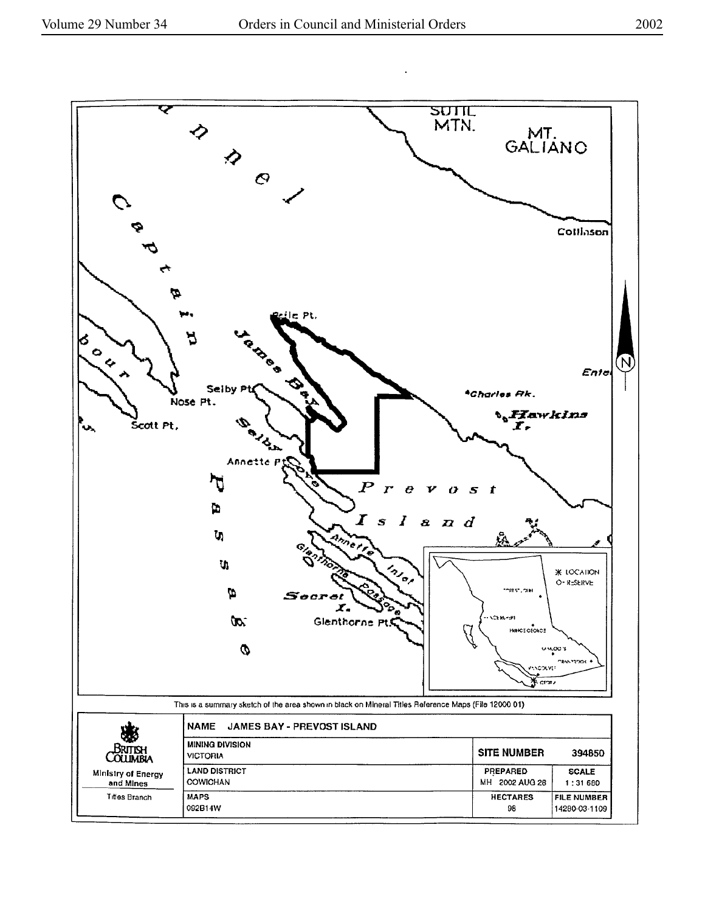

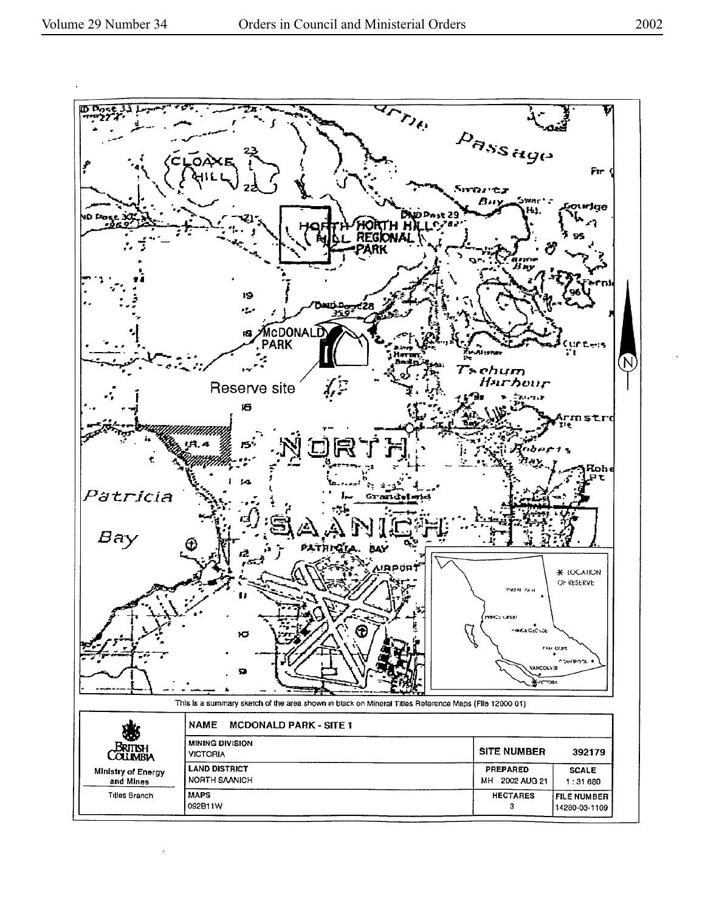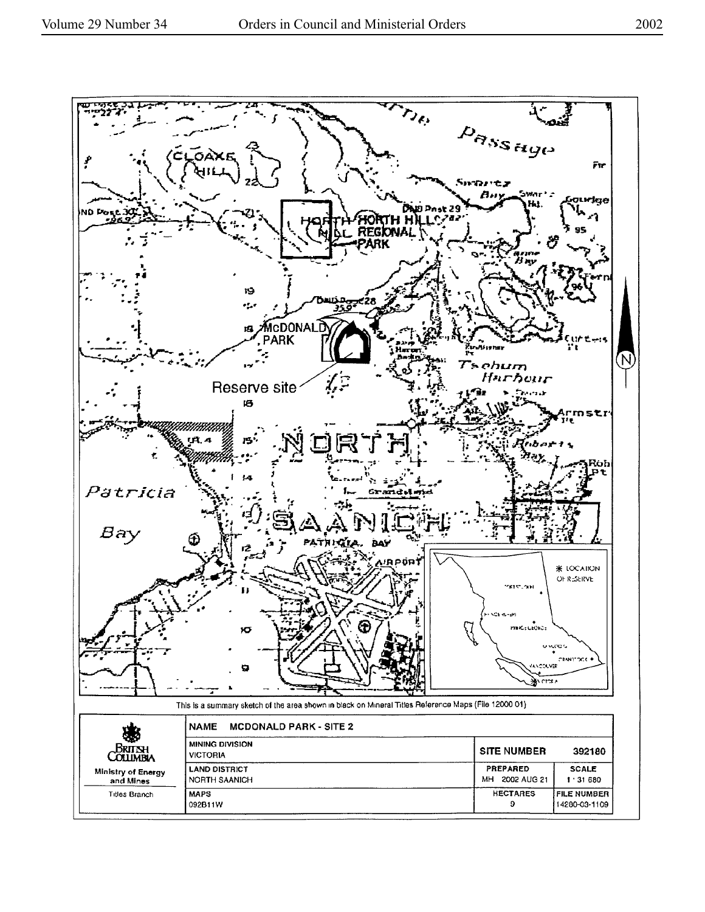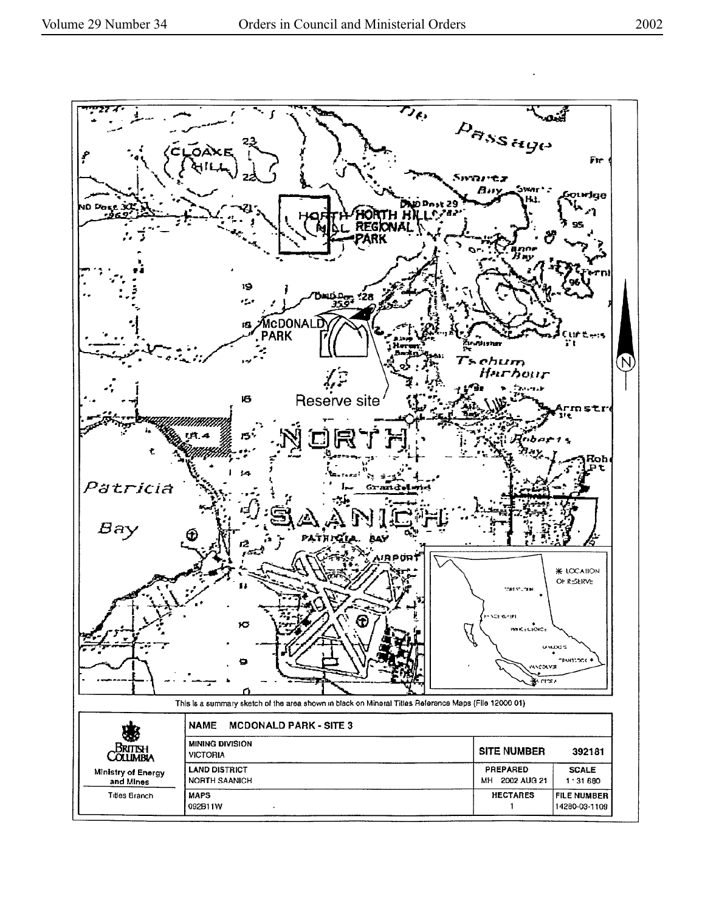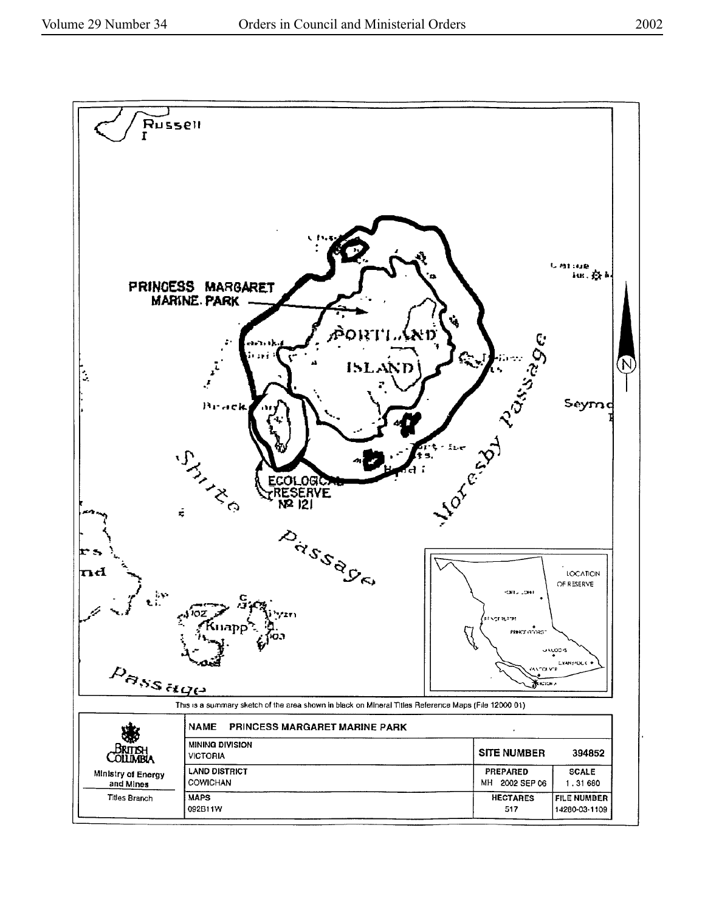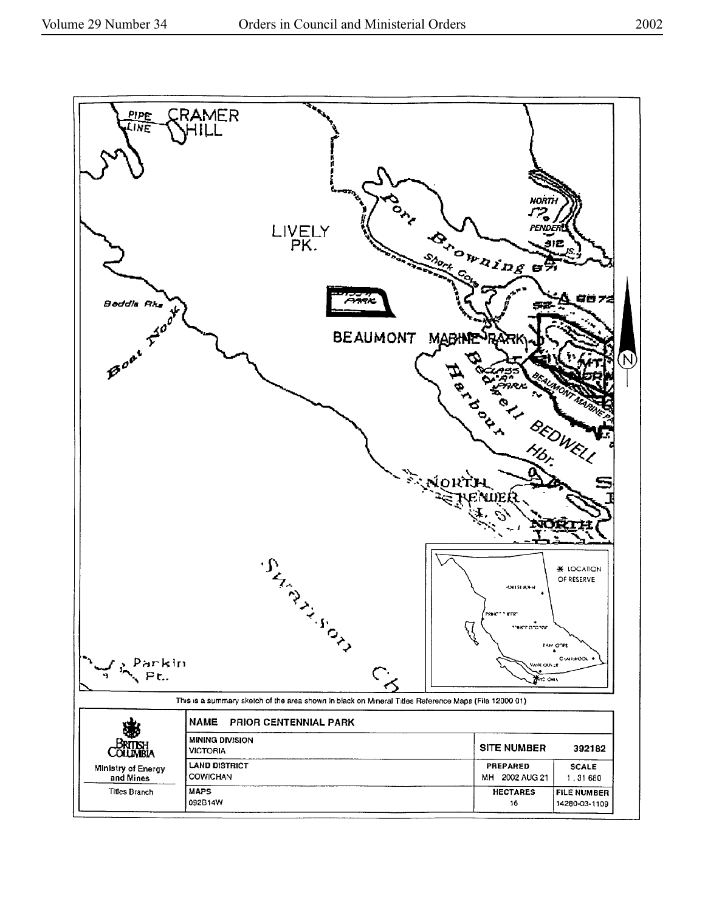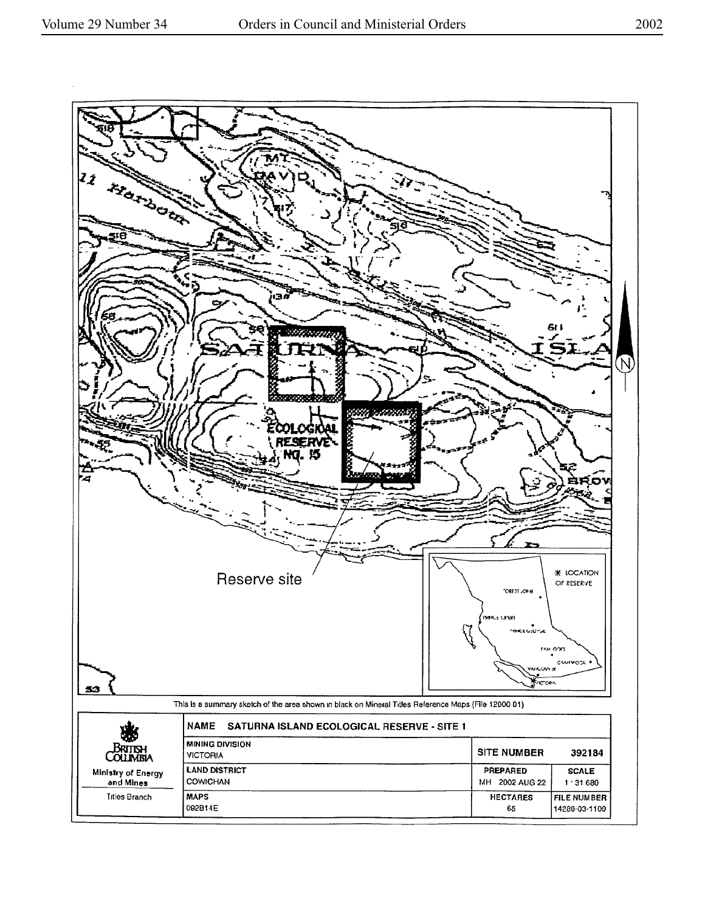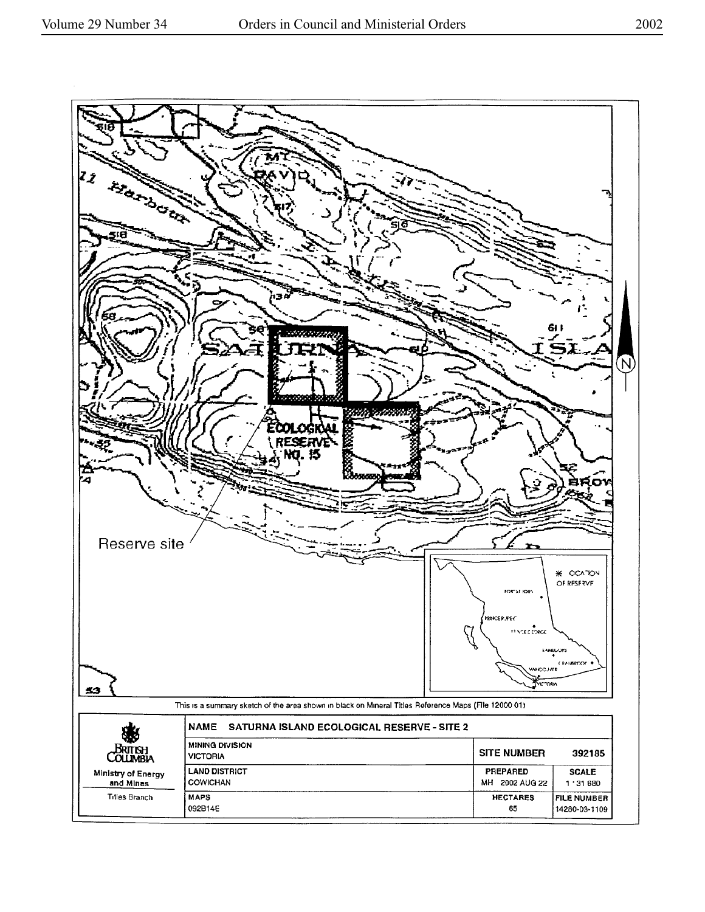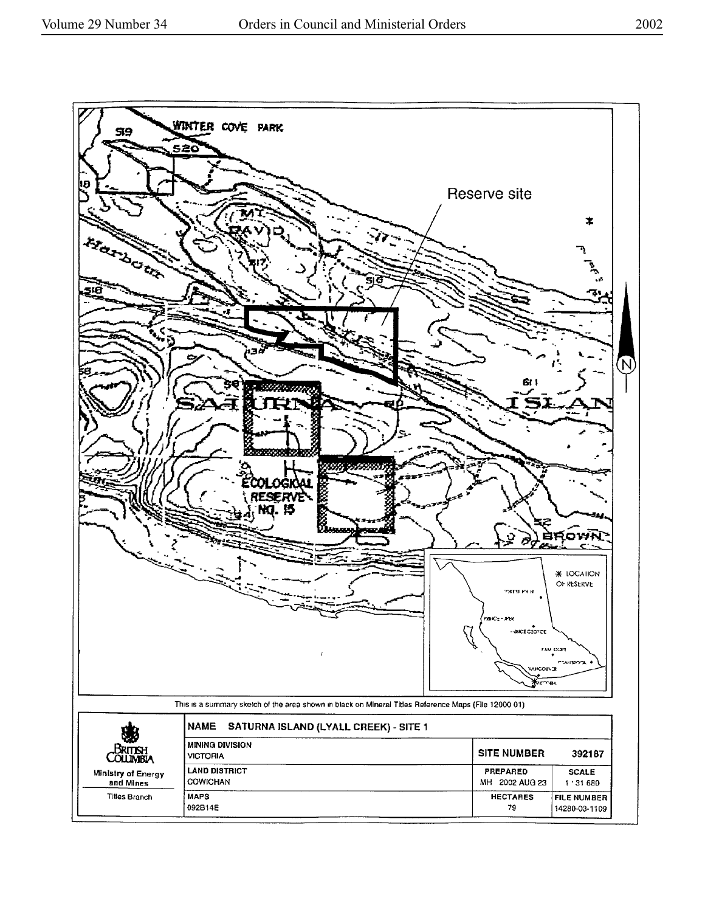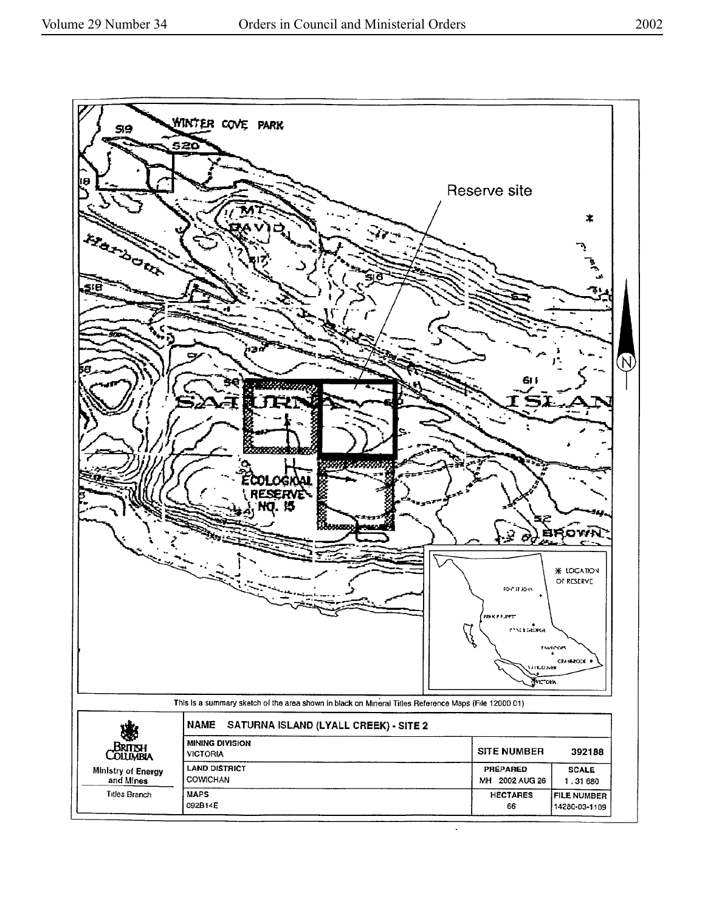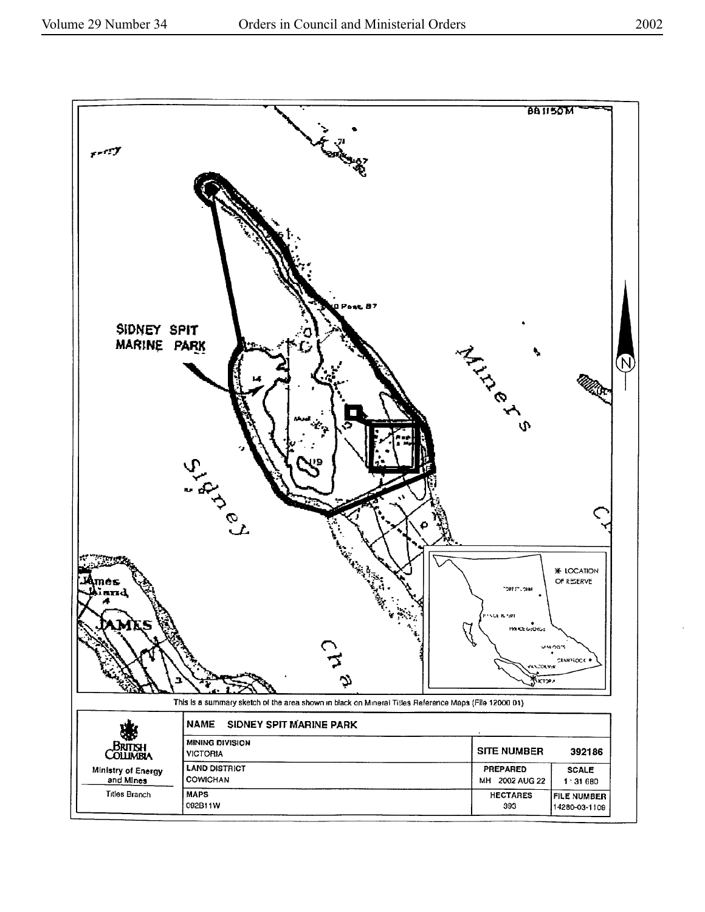